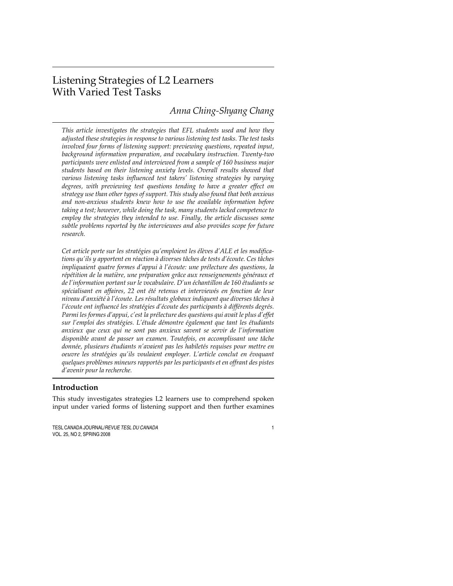# Listening Strategies of L2 Learners With Varied Test Tasks

# *Anna Ching-Shyang Chang*

*This article investigates the strategies that EFL students used and how they adjusted these strategies in response to various listening test tasks. The test tasks involved four forms of listening support: previewing questions, repeated input, background information preparation, and vocabulary instruction. Twenty-two participants were enlisted and interviewed from a sample of 160 business major students based on their listening anxiety levels. Overall results showed that various listening tasks influenced test takers' listening strategies by varying degrees, with previewing test questions tending to have a greater effect on strategy use than other types of support. This study also found that both anxious and non-anxious students knew how to use the available information before taking a test; however, while doing the task, many students lacked competence to employ the strategies they intended to use. Finally, the article discusses some subtle problems reported by the interviewees and also provides scope for future research.*

*Cet article porte sur les stratégies qu'emploient les élèves d'ALE et les modifications qu'ils y apportent en réaction à diverses tâches de tests d'écoute. Ces tâches impliquaient quatre formes d'appui à l'écoute: une prélecture des questions, la répétition de la matière, une préparation grâce aux renseignements généraux et de l'information portant sur le vocabulaire. D'un échantillon de 160 étudiants se spécialisant en affaires, 22 ont été retenus et interviewés en fonction de leur niveau d'anxiété à l'écoute. Les résultats globaux indiquent que diverses tâches à l'écoute ont influencé les stratégies d'écoute des participants à différents degrés. Parmi les formes d'appui, c'est la prélecture des questions qui avait le plus d'effet sur l'emploi des stratégies. L'étude démontre également que tant les étudiants anxieux que ceux qui ne sont pas anxieux savent se servir de l'information disponible avant de passer un examen. Toutefois, en accomplissant une tâche donnée, plusieurs étudiants n'avaient pas les habiletés requises pour mettre en oeuvre les stratégies qu'ils voulaient employer. L'article conclut en évoquant quelques problèmes mineurs rapportés par les participants et en offrant des pistes d'avenir pour la recherche.*

# **Introduction**

This study investigates strategies L2 learners use to comprehend spoken input under varied forms of listening support and then further examines

TESL CANADA JOURNAL/REVUE TESL DU CANADA 1 VOL. 25, NO 2, SPRING 2008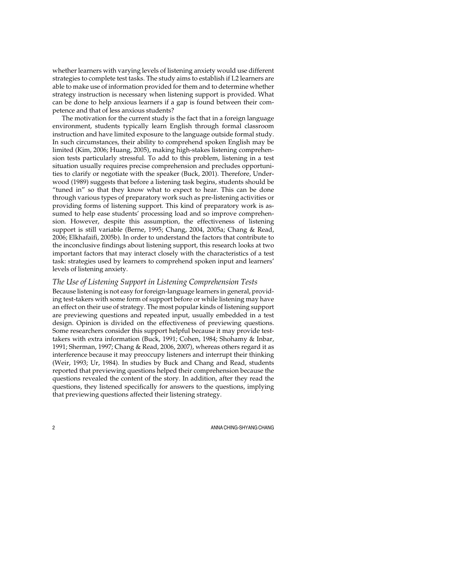whether learners with varying levels of listening anxiety would use different strategies to complete test tasks. The study aims to establish if L2 learners are able to make use of information provided for them and to determine whether strategy instruction is necessary when listening support is provided. What can be done to help anxious learners if a gap is found between their competence and that of less anxious students?

The motivation for the current study is the fact that in a foreign language environment, students typically learn English through formal classroom instruction and have limited exposure to the language outside formal study. In such circumstances, their ability to comprehend spoken English may be limited (Kim, 2006; Huang, 2005), making high-stakes listening comprehension tests particularly stressful. To add to this problem, listening in a test situation usually requires precise comprehension and precludes opportunities to clarify or negotiate with the speaker (Buck, 2001). Therefore, Underwood (1989) suggests that before a listening task begins, students should be "tuned in" so that they know what to expect to hear. This can be done through various types of preparatory work such as pre-listening activities or providing forms of listening support. This kind of preparatory work is assumed to help ease students' processing load and so improve comprehension. However, despite this assumption, the effectiveness of listening support is still variable (Berne, 1995; Chang, 2004, 2005a; Chang & Read, 2006; Elkhafaifi, 2005b). In order to understand the factors that contribute to the inconclusive findings about listening support, this research looks at two important factors that may interact closely with the characteristics of a test task: strategies used by learners to comprehend spoken input and learners' levels of listening anxiety.

#### *The Use of Listening Support in Listening Comprehension Tests*

Because listening is not easy for foreign-language learners in general, providing test-takers with some form of support before or while listening may have an effect on their use of strategy. The most popular kinds of listening support are previewing questions and repeated input, usually embedded in a test design. Opinion is divided on the effectiveness of previewing questions. Some researchers consider this support helpful because it may provide testtakers with extra information (Buck, 1991; Cohen, 1984; Shohamy & Inbar, 1991; Sherman, 1997; Chang & Read, 2006, 2007), whereas others regard it as interference because it may preoccupy listeners and interrupt their thinking (Weir, 1993; Ur, 1984). In studies by Buck and Chang and Read, students reported that previewing questions helped their comprehension because the questions revealed the content of the story. In addition, after they read the questions, they listened specifically for answers to the questions, implying that previewing questions affected their listening strategy.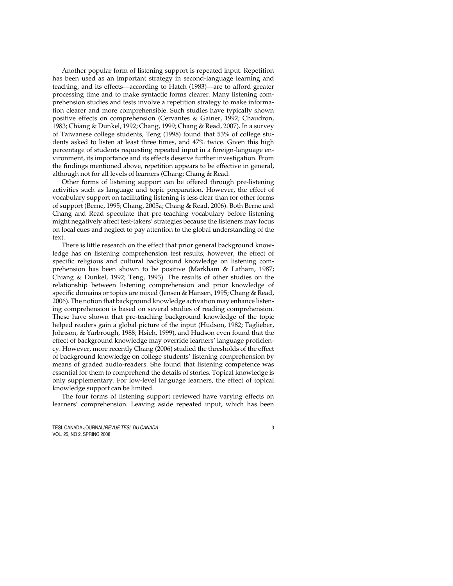Another popular form of listening support is repeated input. Repetition has been used as an important strategy in second-language learning and teaching, and its effects—according to Hatch (1983)—are to afford greater processing time and to make syntactic forms clearer. Many listening comprehension studies and tests involve a repetition strategy to make information clearer and more comprehensible. Such studies have typically shown positive effects on comprehension (Cervantes & Gainer, 1992; Chaudron, 1983; Chiang & Dunkel, 1992; Chang, 1999; Chang & Read, 2007). In a survey of Taiwanese college students, Teng (1998) found that 53% of college students asked to listen at least three times, and 47% twice. Given this high percentage of students requesting repeated input in a foreign-language environment, its importance and its effects deserve further investigation. From the findings mentioned above, repetition appears to be effective in general, although not for all levels of learners (Chang; Chang & Read.

Other forms of listening support can be offered through pre-listening activities such as language and topic preparation. However, the effect of vocabulary support on facilitating listening is less clear than for other forms of support (Berne, 1995; Chang, 2005a; Chang & Read, 2006). Both Berne and Chang and Read speculate that pre-teaching vocabulary before listening might negatively affect test-takers' strategies because the listeners may focus on local cues and neglect to pay attention to the global understanding of the text.

There is little research on the effect that prior general background knowledge has on listening comprehension test results; however, the effect of specific religious and cultural background knowledge on listening comprehension has been shown to be positive (Markham & Latham, 1987; Chiang & Dunkel, 1992; Teng, 1993). The results of other studies on the relationship between listening comprehension and prior knowledge of specific domains or topics are mixed (Jensen & Hansen, 1995; Chang & Read, 2006). The notion that background knowledge activation may enhance listening comprehension is based on several studies of reading comprehension. These have shown that pre-teaching background knowledge of the topic helped readers gain a global picture of the input (Hudson, 1982; Taglieber, Johnson, & Yarbrough, 1988; Hsieh, 1999), and Hudson even found that the effect of background knowledge may override learners' language proficiency. However, more recently Chang (2006) studied the thresholds of the effect of background knowledge on college students' listening comprehension by means of graded audio-readers. She found that listening competence was essential for them to comprehend the details of stories. Topical knowledge is only supplementary. For low-level language learners, the effect of topical knowledge support can be limited.

The four forms of listening support reviewed have varying effects on learners' comprehension. Leaving aside repeated input, which has been

TESL CANADA JOURNAL/REVUE TESL DU CANADA 33 VOL. 25, NO 2, SPRING 2008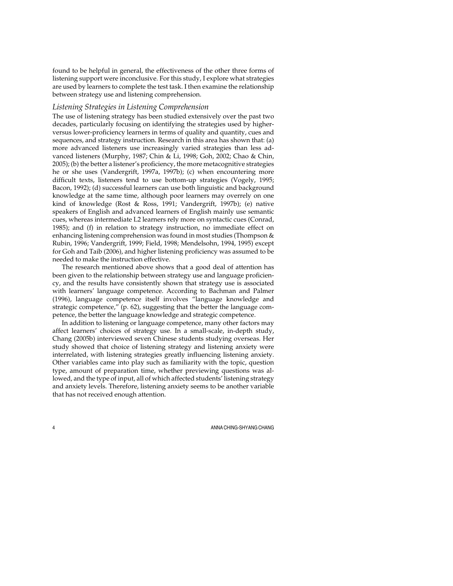found to be helpful in general, the effectiveness of the other three forms of listening support were inconclusive. For this study, I explore what strategies are used by learners to complete the test task. I then examine the relationship between strategy use and listening comprehension.

### *Listening Strategies in Listening Comprehension*

The use of listening strategy has been studied extensively over the past two decades, particularly focusing on identifying the strategies used by higherversus lower-proficiency learners in terms of quality and quantity, cues and sequences, and strategy instruction. Research in this area has shown that: (a) more advanced listeners use increasingly varied strategies than less advanced listeners (Murphy, 1987; Chin & Li, 1998; Goh, 2002; Chao & Chin, 2005); (b) the better a listener's proficiency, the more metacognitive strategies he or she uses (Vandergrift, 1997a, 1997b); (c) when encountering more difficult texts, listeners tend to use bottom-up strategies (Vogely, 1995; Bacon, 1992); (d) successful learners can use both linguistic and background knowledge at the same time, although poor learners may overrely on one kind of knowledge (Rost & Ross, 1991; Vandergrift, 1997b); (e) native speakers of English and advanced learners of English mainly use semantic cues, whereas intermediate L2 learners rely more on syntactic cues (Conrad, 1985); and (f) in relation to strategy instruction, no immediate effect on enhancing listening comprehension was found in most studies (Thompson & Rubin, 1996; Vandergrift, 1999; Field, 1998; Mendelsohn, 1994, 1995) except for Goh and Taib (2006), and higher listening proficiency was assumed to be needed to make the instruction effective.

The research mentioned above shows that a good deal of attention has been given to the relationship between strategy use and language proficiency, and the results have consistently shown that strategy use is associated with learners' language competence. According to Bachman and Palmer (1996), language competence itself involves "language knowledge and strategic competence," (p. 62), suggesting that the better the language competence, the better the language knowledge and strategic competence.

In addition to listening or language competence, many other factors may affect learners' choices of strategy use. In a small-scale, in-depth study, Chang (2005b) interviewed seven Chinese students studying overseas. Her study showed that choice of listening strategy and listening anxiety were interrelated, with listening strategies greatly influencing listening anxiety. Other variables came into play such as familiarity with the topic, question type, amount of preparation time, whether previewing questions was allowed, and the type of input, all of which affected students' listening strategy and anxiety levels. Therefore, listening anxiety seems to be another variable that has not received enough attention.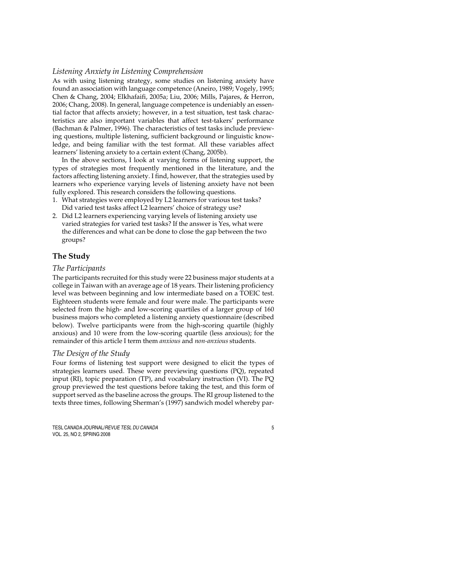### *Listening Anxiety in Listening Comprehension*

As with using listening strategy, some studies on listening anxiety have found an association with language competence (Aneiro, 1989; Vogely, 1995; Chen & Chang, 2004; Elkhafaifi, 2005a; Liu, 2006; Mills, Pajares, & Herron, 2006; Chang, 2008). In general, language competence is undeniably an essential factor that affects anxiety; however, in a test situation, test task characteristics are also important variables that affect test-takers' performance (Bachman & Palmer, 1996). The characteristics of test tasks include previewing questions, multiple listening, sufficient background or linguistic knowledge, and being familiar with the test format. All these variables affect learners' listening anxiety to a certain extent (Chang, 2005b).

In the above sections, I look at varying forms of listening support, the types of strategies most frequently mentioned in the literature, and the factors affecting listening anxiety. I find, however, that the strategies used by learners who experience varying levels of listening anxiety have not been fully explored. This research considers the following questions.

- 1. What strategies were employed by L2 learners for various test tasks? Did varied test tasks affect L2 learners' choice of strategy use?
- 2. Did L2 learners experiencing varying levels of listening anxiety use varied strategies for varied test tasks? If the answer is Yes, what were the differences and what can be done to close the gap between the two groups?

# **The Study**

# *The Participants*

The participants recruited for this study were 22 business major students at a college in Taiwan with an average age of 18 years. Their listening proficiency level was between beginning and low intermediate based on a TOEIC test. Eighteeen students were female and four were male. The participants were selected from the high- and low-scoring quartiles of a larger group of 160 business majors who completed a listening anxiety questionnaire (described below). Twelve participants were from the high-scoring quartile (highly anxious) and 10 were from the low-scoring quartile (less anxious); for the remainder of this article I term them *anxious* and *non-anxious* students.

# *The Design of the Study*

Four forms of listening test support were designed to elicit the types of strategies learners used. These were previewing questions (PQ), repeated input (RI), topic preparation (TP), and vocabulary instruction (VI). The PQ group previewed the test questions before taking the test, and this form of support served as the baseline across the groups. The RI group listened to the texts three times, following Sherman's (1997) sandwich model whereby par-

TESL CANADA JOURNAL/REVUE TESL DU CANADA 5 VOL. 25, NO 2, SPRING 2008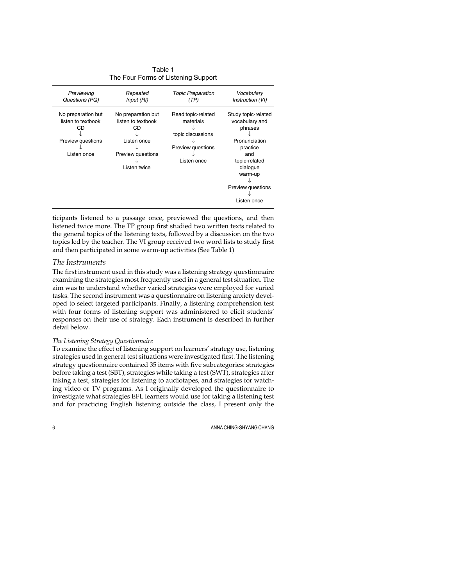| Previewing                                                                         | Repeated                                                                                           | <b>Topic Preparation</b>                                                                 | Vocabulary                                                                                                                                                       |
|------------------------------------------------------------------------------------|----------------------------------------------------------------------------------------------------|------------------------------------------------------------------------------------------|------------------------------------------------------------------------------------------------------------------------------------------------------------------|
| Questions (PQ)                                                                     | Input (RI)                                                                                         | (TP)                                                                                     | Instruction (VI)                                                                                                                                                 |
| No preparation but<br>listen to textbook<br>CD<br>Preview questions<br>Listen once | No preparation but<br>listen to textbook<br>CD<br>Listen once<br>Preview questions<br>Listen twice | Read topic-related<br>materials<br>topic discussions<br>Preview questions<br>Listen once | Study topic-related<br>vocabulary and<br>phrases<br>Pronunciation<br>practice<br>and<br>topic-related<br>dialogue<br>warm-up<br>Preview questions<br>Listen once |

Table 1 The Four Forms of Listening Support

ticipants listened to a passage once, previewed the questions, and then listened twice more. The TP group first studied two written texts related to the general topics of the listening texts, followed by a discussion on the two topics led by the teacher. The VI group received two word lists to study first and then participated in some warm-up activities (See Table 1)

# *The Instruments*

The first instrument used in this study was a listening strategy questionnaire examining the strategies most frequently used in a general test situation. The aim was to understand whether varied strategies were employed for varied tasks. The second instrument was a questionnaire on listening anxiety developed to select targeted participants. Finally, a listening comprehension test with four forms of listening support was administered to elicit students' responses on their use of strategy. Each instrument is described in further detail below.

# *The Listening Strategy Questionnaire*

To examine the effect of listening support on learners' strategy use, listening strategies used in general test situations were investigated first. The listening strategy questionnaire contained 35 items with five subcategories: strategies before taking a test (SBT), strategies while taking a test (SWT), strategies after taking a test, strategies for listening to audiotapes, and strategies for watching video or TV programs. As I originally developed the questionnaire to investigate what strategies EFL learners would use for taking a listening test and for practicing English listening outside the class, I present only the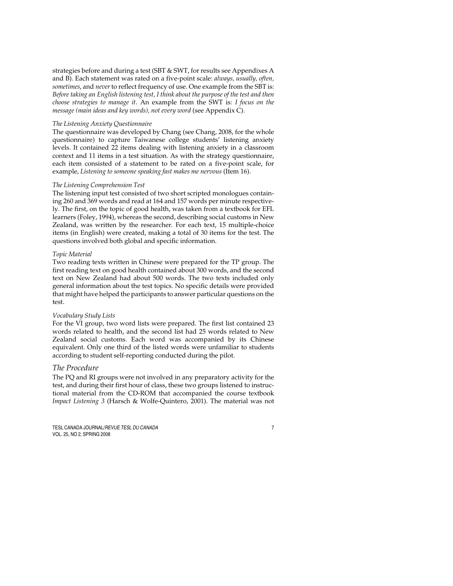strategies before and during a test (SBT & SWT, for results see Appendixes A and B). Each statement was rated on a five-point scale: *always, usually, often, sometimes*, and *never* to reflect frequency of use. One example from the SBT is: *Before taking an English listening test, I think about the purpose of the test and then choose strategies to manage it*. An example from the SWT is: *I focus on the message (main ideas and key words), not every word* (see Appendix C).

#### *The Listening Anxiety Questionnaire*

The questionnaire was developed by Chang (see Chang, 2008, for the whole questionnaire) to capture Taiwanese college students' listening anxiety levels. It contained 22 items dealing with listening anxiety in a classroom context and 11 items in a test situation. As with the strategy questionnaire, each item consisted of a statement to be rated on a five-point scale, for example, *Listening to someone speaking fast makes me nervous* (Item 16).

#### *The Listening Comprehension Test*

The listening input test consisted of two short scripted monologues containing 260 and 369 words and read at 164 and 157 words per minute respectively. The first, on the topic of good health, was taken from a textbook for EFL learners (Foley, 1994), whereas the second, describing social customs in New Zealand, was written by the researcher. For each text, 15 multiple-choice items (in English) were created, making a total of 30 items for the test. The questions involved both global and specific information.

#### *Topic Material*

Two reading texts written in Chinese were prepared for the TP group. The first reading text on good health contained about 300 words, and the second text on New Zealand had about 500 words. The two texts included only general information about the test topics. No specific details were provided that might have helped the participants to answer particular questions on the test.

#### *Vocabulary Study Lists*

For the VI group, two word lists were prepared. The first list contained 23 words related to health, and the second list had 25 words related to New Zealand social customs. Each word was accompanied by its Chinese equivalent. Only one third of the listed words were unfamiliar to students according to student self-reporting conducted during the pilot.

# *The Procedure*

The PQ and RI groups were not involved in any preparatory activity for the test, and during their first hour of class, these two groups listened to instructional material from the CD-ROM that accompanied the course textbook *Impact Listening 3* (Harsch & Wolfe-Quintero, 2001). The material was not

TESL CANADA JOURNAL/REVUE TESL DU CANADA 7 VOL. 25, NO 2, SPRING 2008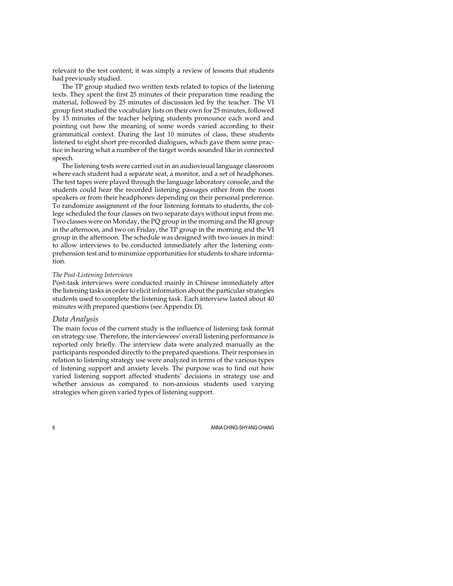relevant to the test content; it was simply a review of lessons that students had previously studied.

The TP group studied two written texts related to topics of the listening texts. They spent the first 25 minutes of their preparation time reading the material, followed by 25 minutes of discussion led by the teacher. The VI group first studied the vocabulary lists on their own for 25 minutes, followed by 15 minutes of the teacher helping students pronounce each word and pointing out how the meaning of some words varied according to their grammatical context. During the last 10 minutes of class, these students listened to eight short pre-recorded dialogues, which gave them some practice in hearing what a number of the target words sounded like in connected speech.

The listening tests were carried out in an audiovisual language classroom where each student had a separate seat, a monitor, and a set of headphones. The test tapes were played through the language laboratory console, and the students could hear the recorded listening passages either from the room speakers or from their headphones depending on their personal preference. To randomize assignment of the four listening formats to students, the college scheduled the four classes on two separate days without input from me. Two classes were on Monday, the PQ group in the morning and the RI group in the afternoon, and two on Friday, the TP group in the morning and the VI group in the afternoon. The schedule was designed with two issues in mind: to allow interviews to be conducted immediately after the listening comprehension test and to minimize opportunities for students to share information.

#### *The Post-Listening Interviews*

Post-task interviews were conducted mainly in Chinese immediately after the listening tasks in order to elicit information about the particular strategies students used to complete the listening task. Each interview lasted about 40 minutes with prepared questions (see Appendix D).

#### *Data Analysis*

The main focus of the current study is the influence of listening task format on strategy use. Therefore, the interviewees' overall listening performance is reported only briefly. The interview data were analyzed manually as the participants responded directly to the prepared questions. Their responses in relation to listening strategy use were analyzed in terms of the various types of listening support and anxiety levels. The purpose was to find out how varied listening support affected students' decisions in strategy use and whether anxious as compared to non-anxious students used varying strategies when given varied types of listening support.

8 ANNA CHING-SHYANG CHANG CHANG CHANG CHANG CHANG CHANG CHANG CHANG CHANG CHANG CHANG CHANG CHANG CHANG CHANG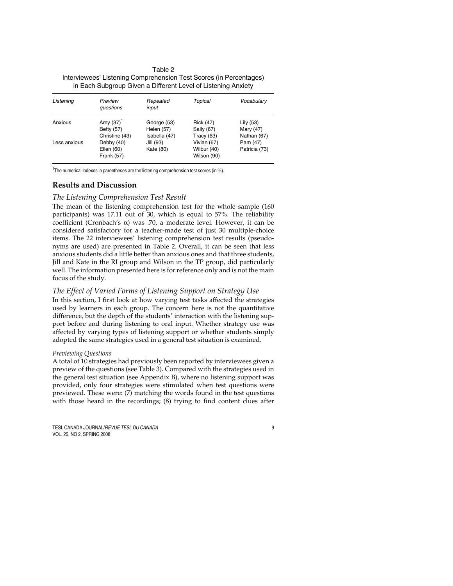| in Each Subgroup Given a Different Level of Listening Anxiety |                                                     |                                            |                                              |                                       |  |  |  |
|---------------------------------------------------------------|-----------------------------------------------------|--------------------------------------------|----------------------------------------------|---------------------------------------|--|--|--|
| Listening                                                     | Preview<br>questions                                | Repeated<br>input                          | Topical                                      | Vocabulary                            |  |  |  |
| Anxious                                                       | Amy $(37)^1$<br><b>Betty (57)</b><br>Christine (43) | George (53)<br>Helen (57)<br>Isabella (47) | <b>Rick (47)</b><br>Sally (67)<br>Tracy (63) | Lily (53)<br>Mary (47)<br>Nathan (67) |  |  |  |
| Less anxious                                                  | Debby $(40)$<br>Ellen (60)<br><b>Frank (57)</b>     | Jill (93)<br>Kate (80)                     | Vivian (67)<br>Wilbur (40)<br>Wilson (90)    | Pam (47)<br>Patricia (73)             |  |  |  |

Table 2 Interviewees' Listening Comprehension Test Scores (in Percentages) irent Level of Listening A

<sup>1</sup>The numerical indexes in parentheses are the listening comprehension test scores (in %).

# **Results and Discussion**

# *The Listening Comprehension Test Result*

The mean of the listening comprehension test for the whole sample (160 participants) was 17.11 out of 30, which is equal to 57%. The reliability coefficient (Cronbach's α) was .70, a moderate level. However, it can be considered satisfactory for a teacher-made test of just 30 multiple-choice items. The 22 interviewees' listening comprehension test results (pseudonyms are used) are presented in Table 2. Overall, it can be seen that less anxious students did a little better than anxious ones and that three students, Jill and Kate in the RI group and Wilson in the TP group, did particularly well. The information presented here is for reference only and is not the main focus of the study.

# *The Effect of Varied Forms of Listening Support on Strategy Use*

In this section, I first look at how varying test tasks affected the strategies used by learners in each group. The concern here is not the quantitative difference, but the depth of the students' interaction with the listening support before and during listening to oral input. Whether strategy use was affected by varying types of listening support or whether students simply adopted the same strategies used in a general test situation is examined.

#### *Previewing Questions*

A total of 10 strategies had previously been reported by interviewees given a preview of the questions (see Table 3). Compared with the strategies used in the general test situation (see Appendix B), where no listening support was provided, only four strategies were stimulated when test questions were previewed. These were: (7) matching the words found in the test questions with those heard in the recordings; (8) trying to find content clues after

TESL CANADA JOURNAL/REVUE TESL DU CANADA 9 VOL. 25, NO 2, SPRING 2008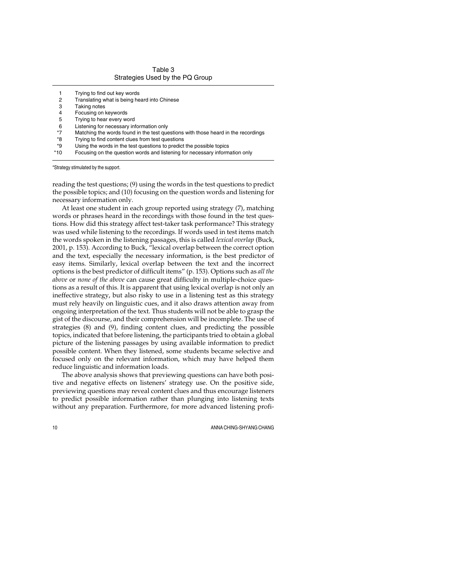Table 3 Strategies Used by the PQ Group

- 1 Trying to find out key words
- 2 Translating what is being heard into Chinese<br>3 Taking notes
- Taking notes
- 4 Focusing on keywords<br>5 Trying to hear every we
- 5 Trying to hear every word
- 6 Listening for necessary information only
- \*7 Matching the words found in the test questions with those heard in the recordings
- Trying to find content clues from test questions
- \*9 Using the words in the test questions to predict the possible topics
- \*10 Focusing on the question words and listening for necessary information only

\*Strategy stimulated by the support.

reading the test questions; (9) using the words in the test questions to predict the possible topics; and (10) focusing on the question words and listening for necessary information only.

At least one student in each group reported using strategy (7), matching words or phrases heard in the recordings with those found in the test questions. How did this strategy affect test-taker task performance? This strategy was used while listening to the recordings. If words used in test items match the words spoken in the listening passages, this is called *lexical overlap* (Buck, 2001, p. 153). According to Buck, "lexical overlap between the correct option and the text, especially the necessary information, is the best predictor of easy items. Similarly, lexical overlap between the text and the incorrect options is the best predictor of difficult items" (p. 153). Options such as *all the above* or *none of the above* can cause great difficulty in multiple-choice questions as a result of this. It is apparent that using lexical overlap is not only an ineffective strategy, but also risky to use in a listening test as this strategy must rely heavily on linguistic cues, and it also draws attention away from ongoing interpretation of the text. Thus students will not be able to grasp the gist of the discourse, and their comprehension will be incomplete. The use of strategies (8) and (9), finding content clues, and predicting the possible topics, indicated that before listening, the participants tried to obtain a global picture of the listening passages by using available information to predict possible content. When they listened, some students became selective and focused only on the relevant information, which may have helped them reduce linguistic and information loads.

The above analysis shows that previewing questions can have both positive and negative effects on listeners' strategy use. On the positive side, previewing questions may reveal content clues and thus encourage listeners to predict possible information rather than plunging into listening texts without any preparation. Furthermore, for more advanced listening profi-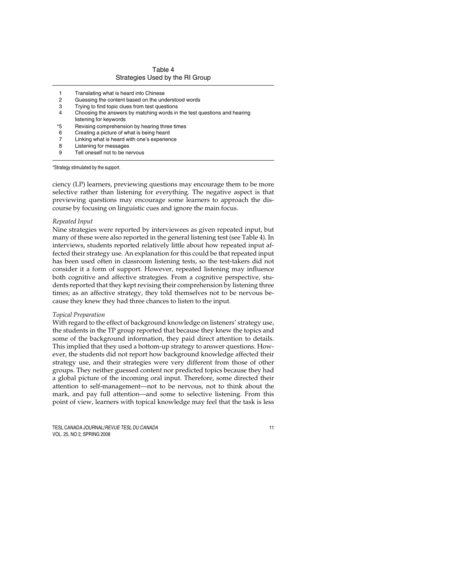# Table 4 Strategies Used by the RI Group

- 1 Translating what is heard into Chinese
- 2 Guessing the content based on the understood words<br>3 Trying to find topic clues from test questions
- 3 Trying to find topic clues from test questions<br>4 Choosing the answers by matching words in
- Choosing the answers by matching words in the test questions and hearing listening for keywords
- \*5 Revising comprehension by hearing three times
- 6 Creating a picture of what is being heard
- 7 Linking what is heard with one's experience
- 8 Listening for messages
- 9 Tell oneself not to be nervous

\*Strategy stimulated by the support.

ciency (LP) learners, previewing questions may encourage them to be more selective rather than listening for everything. The negative aspect is that previewing questions may encourage some learners to approach the discourse by focusing on linguistic cues and ignore the main focus.

### *Repeated Input*

Nine strategies were reported by interviewees as given repeated input, but many of these were also reported in the general listening test (see Table 4). In interviews, students reported relatively little about how repeated input affected their strategy use. An explanation for this could be that repeated input has been used often in classroom listening tests, so the test-takers did not consider it a form of support. However, repeated listening may influence both cognitive and affective strategies. From a cognitive perspective, students reported that they kept revising their comprehension by listening three times; as an affective strategy, they told themselves not to be nervous because they knew they had three chances to listen to the input.

#### *Topical Preparation*

With regard to the effect of background knowledge on listeners' strategy use, the students in the TP group reported that because they knew the topics and some of the background information, they paid direct attention to details. This implied that they used a bottom-up strategy to answer questions. However, the students did not report how background knowledge affected their strategy use, and their strategies were very different from those of other groups. They neither guessed content nor predicted topics because they had a global picture of the incoming oral input. Therefore, some directed their attention to self-management—not to be nervous, not to think about the mark, and pay full attention—and some to selective listening. From this point of view, learners with topical knowledge may feel that the task is less

TESL CANADA JOURNAL/REVUE TESL DU CANADA 11 VOL. 25, NO 2, SPRING 2008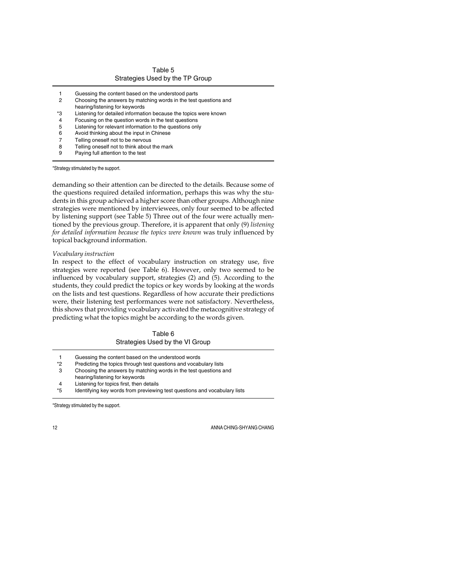# Table 5 Strategies Used by the TP Group

- 1 Guessing the content based on the understood parts<br>2 Choosing the answers by matching words in the test
- 2 Choosing the answers by matching words in the test questions and hearing/listening for keywords
- \*3 Listening for detailed information because the topics were known
- 4 Focusing on the question words in the test questions
- 5 Listening for relevant information to the questions only
- 6 Avoid thinking about the input in Chinese
- 7 Telling oneself not to be nervous
- 8 Telling oneself not to think about the mark
- 9 Paying full attention to the test

\*Strategy stimulated by the support.

demanding so their attention can be directed to the details. Because some of the questions required detailed information, perhaps this was why the students in this group achieved a higher score than other groups. Although nine strategies were mentioned by interviewees, only four seemed to be affected by listening support (see Table 5) Three out of the four were actually mentioned by the previous group. Therefore, it is apparent that only (9) *listening for detailed information because the topics were known* was truly influenced by topical background information.

#### *Vocabulary instruction*

In respect to the effect of vocabulary instruction on strategy use, five strategies were reported (see Table 6). However, only two seemed to be influenced by vocabulary support, strategies (2) and (5). According to the students, they could predict the topics or key words by looking at the words on the lists and test questions. Regardless of how accurate their predictions were, their listening test performances were not satisfactory. Nevertheless, this shows that providing vocabulary activated the metacognitive strategy of predicting what the topics might be according to the words given.

# Table 6 Strategies Used by the VI Group

- 1 Guessing the content based on the understood words
- \*2 Predicting the topics through test questions and vocabulary lists
- 3 Choosing the answers by matching words in the test questions and hearing/listening for keywords
- 
- 4 Listening for topics first, then details<br>
\*5 Identifying key words from previewin Identifying key words from previewing test questions and vocabulary lists

\*Strategy stimulated by the support.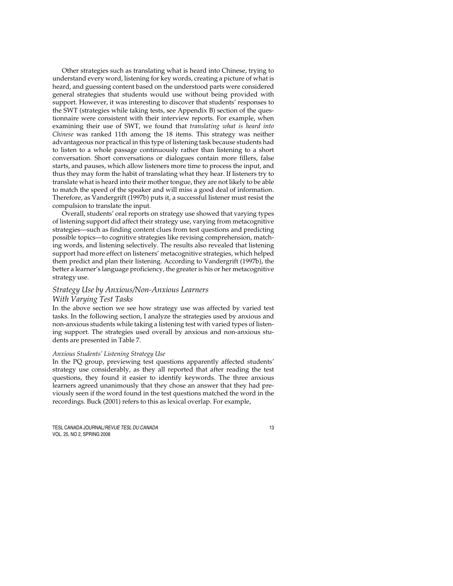Other strategies such as translating what is heard into Chinese, trying to understand every word, listening for key words, creating a picture of what is heard, and guessing content based on the understood parts were considered general strategies that students would use without being provided with support. However, it was interesting to discover that students' responses to the SWT (strategies while taking tests, see Appendix B) section of the questionnaire were consistent with their interview reports. For example, when examining their use of SWT, we found that *translating what is heard into Chinese* was ranked 11th among the 18 items. This strategy was neither advantageous nor practical in this type of listening task because students had to listen to a whole passage continuously rather than listening to a short conversation. Short conversations or dialogues contain more fillers, false starts, and pauses, which allow listeners more time to process the input, and thus they may form the habit of translating what they hear. If listeners try to translate what is heard into their mother tongue, they are not likely to be able to match the speed of the speaker and will miss a good deal of information. Therefore, as Vandergrift (1997b) puts it, a successful listener must resist the compulsion to translate the input.

Overall, students' oral reports on strategy use showed that varying types of listening support did affect their strategy use, varying from metacognitive strategies—such as finding content clues from test questions and predicting possible topics—to cognitive strategies like revising comprehension, matching words, and listening selectively. The results also revealed that listening support had more effect on listeners' metacognitive strategies, which helped them predict and plan their listening. According to Vandergrift (1997b), the better a learner's language proficiency, the greater is his or her metacognitive strategy use.

# *Strategy Use by Anxious/Non-Anxious Learners With Varying Test Tasks*

In the above section we see how strategy use was affected by varied test tasks. In the following section, I analyze the strategies used by anxious and non-anxious students while taking a listening test with varied types of listening support. The strategies used overall by anxious and non-anxious students are presented in Table 7.

#### *Anxious Students' Listening Strategy Use*

In the PQ group, previewing test questions apparently affected students' strategy use considerably, as they all reported that after reading the test questions, they found it easier to identify keywords. The three anxious learners agreed unanimously that they chose an answer that they had previously seen if the word found in the test questions matched the word in the recordings. Buck (2001) refers to this as lexical overlap. For example,

TESL CANADA JOURNAL/REVUE TESL DU CANADA 13 VOL. 25, NO 2, SPRING 2008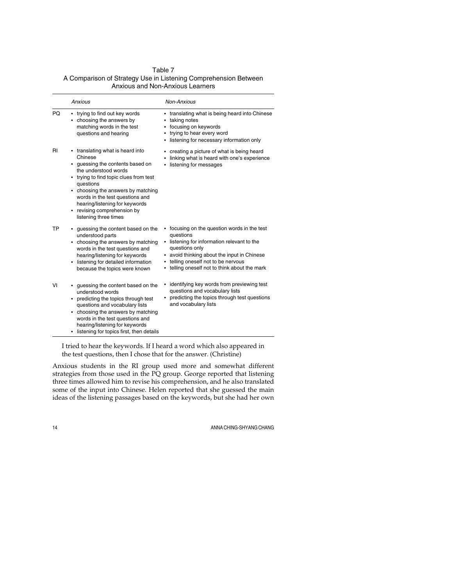| Table 7                                                         |
|-----------------------------------------------------------------|
| A Comparison of Strategy Use in Listening Comprehension Between |
| Anxious and Non-Anxious Learners                                |

|           | <b>Anxious</b>                                                                                                                                                                                                                                                                                                                    | Non-Anxious                                                                                                                                                                                                                                                       |  |  |  |
|-----------|-----------------------------------------------------------------------------------------------------------------------------------------------------------------------------------------------------------------------------------------------------------------------------------------------------------------------------------|-------------------------------------------------------------------------------------------------------------------------------------------------------------------------------------------------------------------------------------------------------------------|--|--|--|
| PQ        | • trying to find out key words<br>• choosing the answers by<br>matching words in the test<br>questions and hearing                                                                                                                                                                                                                | • translating what is being heard into Chinese<br>taking notes<br>• focusing on keywords<br>trying to hear every word<br>• listening for necessary information only                                                                                               |  |  |  |
| <b>RI</b> | • translating what is heard into<br>Chinese<br>• guessing the contents based on<br>the understood words<br>• trying to find topic clues from test<br>questions<br>• choosing the answers by matching<br>words in the test questions and<br>hearing/listening for keywords<br>• revising comprehension by<br>listening three times | • creating a picture of what is being heard<br>• linking what is heard with one's experience<br>• listening for messages                                                                                                                                          |  |  |  |
| TP        | • guessing the content based on the<br>understood parts<br>• choosing the answers by matching<br>words in the test questions and<br>hearing/listening for keywords<br>listening for detailed information<br>because the topics were known                                                                                         | • focusing on the question words in the test<br>questions<br>• listening for information relevant to the<br>questions only<br>• avoid thinking about the input in Chinese<br>• telling oneself not to be nervous<br>• telling oneself not to think about the mark |  |  |  |
| VI        | • guessing the content based on the<br>understood words<br>• predicting the topics through test<br>questions and vocabulary lists<br>• choosing the answers by matching<br>words in the test questions and<br>hearing/listening for keywords<br>listening for topics first, then details<br>٠                                     | • identifying key words from previewing test<br>questions and vocabulary lists<br>• predicting the topics through test questions<br>and vocabulary lists                                                                                                          |  |  |  |

I tried to hear the keywords. If I heard a word which also appeared in the test questions, then I chose that for the answer. (Christine)

Anxious students in the RI group used more and somewhat different strategies from those used in the PQ group. George reported that listening three times allowed him to revise his comprehension, and he also translated some of the input into Chinese. Helen reported that she guessed the main ideas of the listening passages based on the keywords, but she had her own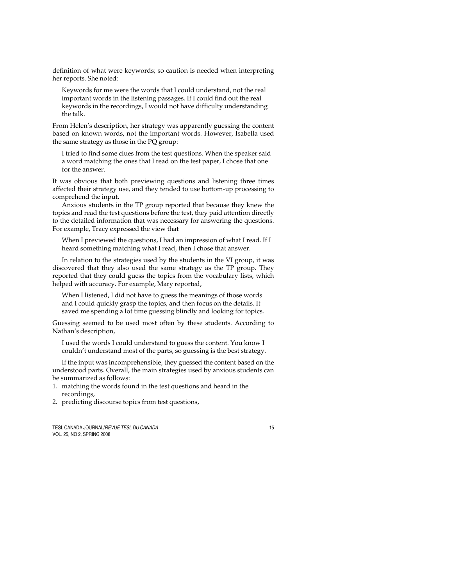definition of what were keywords; so caution is needed when interpreting her reports. She noted:

Keywords for me were the words that I could understand, not the real important words in the listening passages. If I could find out the real keywords in the recordings, I would not have difficulty understanding the talk.

From Helen's description, her strategy was apparently guessing the content based on known words, not the important words. However, Isabella used the same strategy as those in the PQ group:

I tried to find some clues from the test questions. When the speaker said a word matching the ones that I read on the test paper, I chose that one for the answer.

It was obvious that both previewing questions and listening three times affected their strategy use, and they tended to use bottom-up processing to comprehend the input.

Anxious students in the TP group reported that because they knew the topics and read the test questions before the test, they paid attention directly to the detailed information that was necessary for answering the questions. For example, Tracy expressed the view that

When I previewed the questions, I had an impression of what I read. If I heard something matching what I read, then I chose that answer.

In relation to the strategies used by the students in the VI group, it was discovered that they also used the same strategy as the TP group. They reported that they could guess the topics from the vocabulary lists, which helped with accuracy. For example, Mary reported,

When I listened, I did not have to guess the meanings of those words and I could quickly grasp the topics, and then focus on the details. It saved me spending a lot time guessing blindly and looking for topics.

Guessing seemed to be used most often by these students. According to Nathan's description,

I used the words I could understand to guess the content. You know I couldn't understand most of the parts, so guessing is the best strategy.

If the input was incomprehensible, they guessed the content based on the understood parts. Overall, the main strategies used by anxious students can be summarized as follows:

- 1. matching the words found in the test questions and heard in the recordings,
- 2. predicting discourse topics from test questions,

TESL CANADA JOURNAL/REVUE TESL DU CANADA 15 VOL. 25, NO 2, SPRING 2008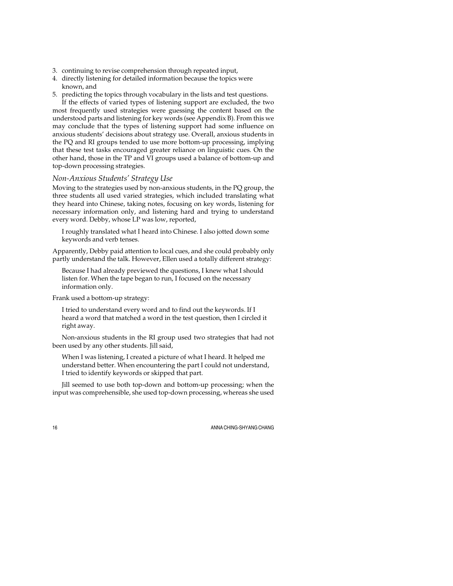- 3. continuing to revise comprehension through repeated input,
- 4. directly listening for detailed information because the topics were known, and
- 5. predicting the topics through vocabulary in the lists and test questions.

If the effects of varied types of listening support are excluded, the two most frequently used strategies were guessing the content based on the understood parts and listening for key words (see Appendix B). From this we may conclude that the types of listening support had some influence on anxious students' decisions about strategy use. Overall, anxious students in the PQ and RI groups tended to use more bottom-up processing, implying that these test tasks encouraged greater reliance on linguistic cues. On the other hand, those in the TP and VI groups used a balance of bottom-up and top-down processing strategies.

# *Non-Anxious Students' Strategy Use*

Moving to the strategies used by non-anxious students, in the PQ group, the three students all used varied strategies, which included translating what they heard into Chinese, taking notes, focusing on key words, listening for necessary information only, and listening hard and trying to understand every word. Debby, whose LP was low, reported,

I roughly translated what I heard into Chinese. I also jotted down some keywords and verb tenses.

Apparently, Debby paid attention to local cues, and she could probably only partly understand the talk. However, Ellen used a totally different strategy:

Because I had already previewed the questions, I knew what I should listen for. When the tape began to run, I focused on the necessary information only.

Frank used a bottom-up strategy:

I tried to understand every word and to find out the keywords. If I heard a word that matched a word in the test question, then I circled it right away.

Non-anxious students in the RI group used two strategies that had not been used by any other students. Jill said,

When I was listening, I created a picture of what I heard. It helped me understand better. When encountering the part I could not understand, I tried to identify keywords or skipped that part.

Jill seemed to use both top-down and bottom-up processing; when the input was comprehensible, she used top-down processing, whereas she used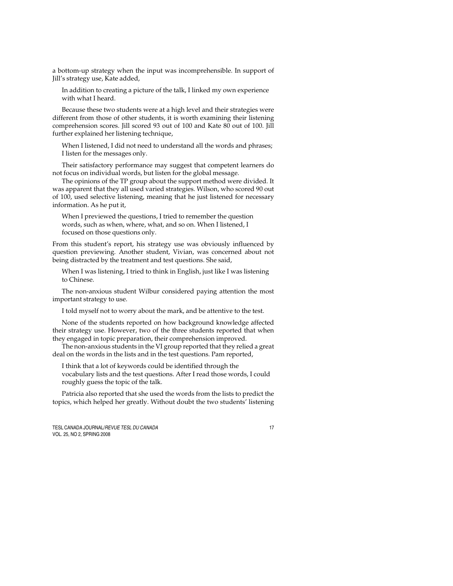a bottom-up strategy when the input was incomprehensible. In support of Jill's strategy use, Kate added,

In addition to creating a picture of the talk, I linked my own experience with what I heard.

Because these two students were at a high level and their strategies were different from those of other students, it is worth examining their listening comprehension scores. Jill scored 93 out of 100 and Kate 80 out of 100. Jill further explained her listening technique,

When I listened, I did not need to understand all the words and phrases; I listen for the messages only.

Their satisfactory performance may suggest that competent learners do not focus on individual words, but listen for the global message.

The opinions of the TP group about the support method were divided. It was apparent that they all used varied strategies. Wilson, who scored 90 out of 100, used selective listening, meaning that he just listened for necessary information. As he put it,

When I previewed the questions, I tried to remember the question words, such as when, where, what, and so on. When I listened, I focused on those questions only.

From this student's report, his strategy use was obviously influenced by question previewing. Another student, Vivian, was concerned about not being distracted by the treatment and test questions. She said,

When I was listening, I tried to think in English, just like I was listening to Chinese.

The non-anxious student Wilbur considered paying attention the most important strategy to use.

I told myself not to worry about the mark, and be attentive to the test.

None of the students reported on how background knowledge affected their strategy use. However, two of the three students reported that when they engaged in topic preparation, their comprehension improved.

The non-anxious students in the VI group reported that they relied a great deal on the words in the lists and in the test questions. Pam reported,

I think that a lot of keywords could be identified through the vocabulary lists and the test questions. After I read those words, I could roughly guess the topic of the talk.

Patricia also reported that she used the words from the lists to predict the topics, which helped her greatly. Without doubt the two students' listening

TESL CANADA JOURNAL/REVUE TESL DU CANADA 17 VOL. 25, NO 2, SPRING 2008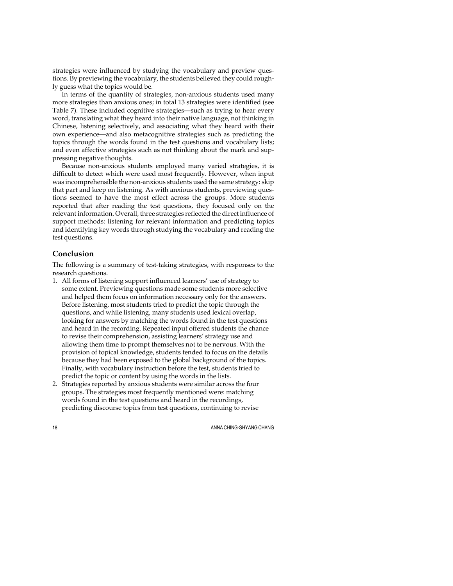strategies were influenced by studying the vocabulary and preview questions. By previewing the vocabulary, the students believed they could roughly guess what the topics would be.

In terms of the quantity of strategies, non-anxious students used many more strategies than anxious ones; in total 13 strategies were identified (see Table 7). These included cognitive strategies—such as trying to hear every word, translating what they heard into their native language, not thinking in Chinese, listening selectively, and associating what they heard with their own experience—and also metacognitive strategies such as predicting the topics through the words found in the test questions and vocabulary lists; and even affective strategies such as not thinking about the mark and suppressing negative thoughts.

Because non-anxious students employed many varied strategies, it is difficult to detect which were used most frequently. However, when input was incomprehensible the non-anxious students used the same strategy: skip that part and keep on listening. As with anxious students, previewing questions seemed to have the most effect across the groups. More students reported that after reading the test questions, they focused only on the relevant information. Overall, three strategies reflected the direct influence of support methods: listening for relevant information and predicting topics and identifying key words through studying the vocabulary and reading the test questions.

# **Conclusion**

The following is a summary of test-taking strategies, with responses to the research questions.

- 1. All forms of listening support influenced learners' use of strategy to some extent. Previewing questions made some students more selective and helped them focus on information necessary only for the answers. Before listening, most students tried to predict the topic through the questions, and while listening, many students used lexical overlap, looking for answers by matching the words found in the test questions and heard in the recording. Repeated input offered students the chance to revise their comprehension, assisting learners' strategy use and allowing them time to prompt themselves not to be nervous. With the provision of topical knowledge, students tended to focus on the details because they had been exposed to the global background of the topics. Finally, with vocabulary instruction before the test, students tried to predict the topic or content by using the words in the lists.
- 2. Strategies reported by anxious students were similar across the four groups. The strategies most frequently mentioned were: matching words found in the test questions and heard in the recordings, predicting discourse topics from test questions, continuing to revise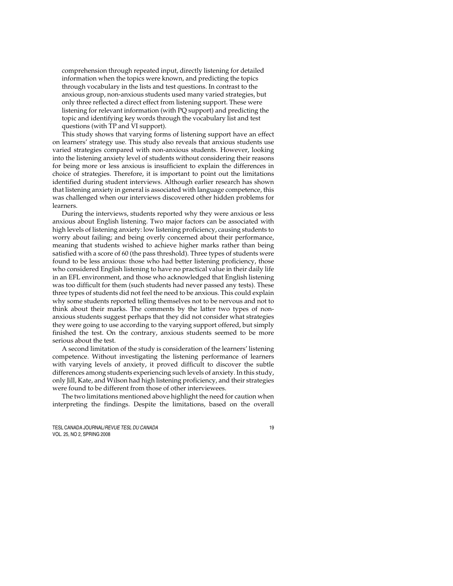comprehension through repeated input, directly listening for detailed information when the topics were known, and predicting the topics through vocabulary in the lists and test questions. In contrast to the anxious group, non-anxious students used many varied strategies, but only three reflected a direct effect from listening support. These were listening for relevant information (with PQ support) and predicting the topic and identifying key words through the vocabulary list and test questions (with TP and VI support).

This study shows that varying forms of listening support have an effect on learners' strategy use. This study also reveals that anxious students use varied strategies compared with non-anxious students. However, looking into the listening anxiety level of students without considering their reasons for being more or less anxious is insufficient to explain the differences in choice of strategies. Therefore, it is important to point out the limitations identified during student interviews. Although earlier research has shown that listening anxiety in general is associated with language competence, this was challenged when our interviews discovered other hidden problems for learners.

During the interviews, students reported why they were anxious or less anxious about English listening. Two major factors can be associated with high levels of listening anxiety: low listening proficiency, causing students to worry about failing; and being overly concerned about their performance, meaning that students wished to achieve higher marks rather than being satisfied with a score of 60 (the pass threshold). Three types of students were found to be less anxious: those who had better listening proficiency, those who considered English listening to have no practical value in their daily life in an EFL environment, and those who acknowledged that English listening was too difficult for them (such students had never passed any tests). These three types of students did not feel the need to be anxious. This could explain why some students reported telling themselves not to be nervous and not to think about their marks. The comments by the latter two types of nonanxious students suggest perhaps that they did not consider what strategies they were going to use according to the varying support offered, but simply finished the test. On the contrary, anxious students seemed to be more serious about the test.

A second limitation of the study is consideration of the learners' listening competence. Without investigating the listening performance of learners with varying levels of anxiety, it proved difficult to discover the subtle differences among students experiencing such levels of anxiety. In this study, only Jill, Kate, and Wilson had high listening proficiency, and their strategies were found to be different from those of other interviewees.

The two limitations mentioned above highlight the need for caution when interpreting the findings. Despite the limitations, based on the overall

TESL CANADA JOURNAL/REVUE TESL DU CANADA 19 VOL. 25, NO 2, SPRING 2008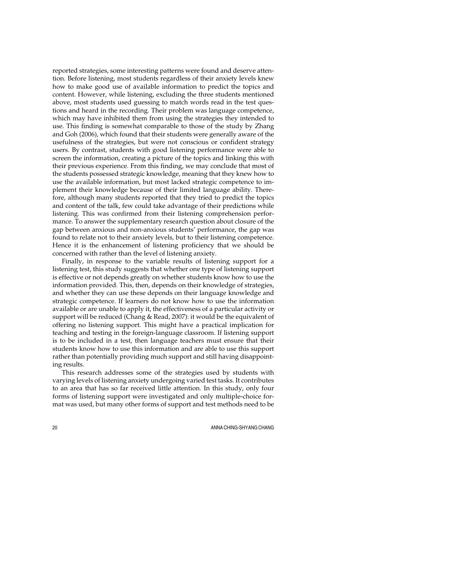reported strategies, some interesting patterns were found and deserve attention. Before listening, most students regardless of their anxiety levels knew how to make good use of available information to predict the topics and content. However, while listening, excluding the three students mentioned above, most students used guessing to match words read in the test questions and heard in the recording. Their problem was language competence, which may have inhibited them from using the strategies they intended to use. This finding is somewhat comparable to those of the study by Zhang and Goh (2006), which found that their students were generally aware of the usefulness of the strategies, but were not conscious or confident strategy users. By contrast, students with good listening performance were able to screen the information, creating a picture of the topics and linking this with their previous experience. From this finding, we may conclude that most of the students possessed strategic knowledge, meaning that they knew how to use the available information, but most lacked strategic competence to implement their knowledge because of their limited language ability. Therefore, although many students reported that they tried to predict the topics and content of the talk, few could take advantage of their predictions while listening. This was confirmed from their listening comprehension performance. To answer the supplementary research question about closure of the gap between anxious and non-anxious students' performance, the gap was found to relate not to their anxiety levels, but to their listening competence. Hence it is the enhancement of listening proficiency that we should be concerned with rather than the level of listening anxiety.

Finally, in response to the variable results of listening support for a listening test, this study suggests that whether one type of listening support is effective or not depends greatly on whether students know how to use the information provided. This, then, depends on their knowledge of strategies, and whether they can use these depends on their language knowledge and strategic competence. If learners do not know how to use the information available or are unable to apply it, the effectiveness of a particular activity or support will be reduced (Chang & Read, 2007): it would be the equivalent of offering no listening support. This might have a practical implication for teaching and testing in the foreign-language classroom. If listening support is to be included in a test, then language teachers must ensure that their students know how to use this information and are able to use this support rather than potentially providing much support and still having disappointing results.

This research addresses some of the strategies used by students with varying levels of listening anxiety undergoing varied test tasks. It contributes to an area that has so far received little attention. In this study, only four forms of listening support were investigated and only multiple-choice format was used, but many other forms of support and test methods need to be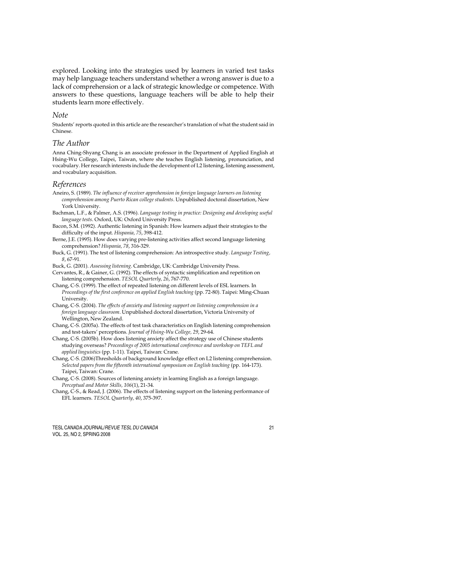explored. Looking into the strategies used by learners in varied test tasks may help language teachers understand whether a wrong answer is due to a lack of comprehension or a lack of strategic knowledge or competence. With answers to these questions, language teachers will be able to help their students learn more effectively.

#### *Note*

Students' reports quoted in this article are the researcher's translation of what the student said in Chinese.

#### *The Author*

Anna Ching-Shyang Chang is an associate professor in the Department of Applied English at Hsing-Wu College, Taipei, Taiwan, where she teaches English listening, pronunciation, and vocabulary. Her research interests include the development of L2 listening, listening assessment, and vocabulary acquisition.

#### *References*

Aneiro, S. (1989). *The influence of receiver apprehension in foreign language learners on listening comprehension among Puerto Rican college students*. Unpublished doctoral dissertation, New York University.

Bachman, L.F., & Palmer, A.S. (1996). *Language testing in practice: Designing and developing useful language tests*. Oxford, UK: Oxford University Press.

Bacon, S.M. (1992). Authentic listening in Spanish: How learners adjust their strategies to the difficulty of the input. *Hispania, 75*, 398-412.

Berne, J.E. (1995). How does varying pre-listening activities affect second language listening comprehension? *Hispania, 78*, 316-329.

Buck, G. (1991). The test of listening comprehension: An introspective study. *Language Testing, 8*, 67-91.

Buck, G. (2001). *Assessing listening*. Cambridge, UK: Cambridge University Press.

- Cervantes, R., & Gainer, G. (1992). The effects of syntactic simplification and repetition on listening comprehension. *TESOL Quarterly, 26*, 767-770.
- Chang, C-S. (1999). The effect of repeated listening on different levels of ESL learners. In *Proceedings of the first conference on applied English teaching* (pp. 72-80). Taipei: Ming-Chuan University.
- Chang, C-S. (2004). *The effects of anxiety and listening support on listening comprehension in a foreign language classroom*. Unpublished doctoral dissertation, Victoria University of Wellington, New Zealand.
- Chang, C-S. (2005a). The effects of test task characteristics on English listening comprehension and test-takers' perceptions. *Journal of Hsing-Wu College, 29*, 29-64.
- Chang, C-S. (2005b). How does listening anxiety affect the strategy use of Chinese students studying overseas? *Proceedings of 2005 international conference and workshop on TEFL and applied linguistics* (pp. 1-11). Taipei, Taiwan: Crane.
- Chang, C-S. (2006)Thresholds of background knowledge effect on L2 listening comprehension. *Selected papers from the fifteenth international symposium on English teaching* (pp. 164-173). Taipei, Taiwan: Crane.
- Chang, C-S. (2008). Sources of listening anxiety in learning English as a foreign language. *Perceptual and Motor Skills, 106*(1), 21-34.
- Chang, C-S., & Read, J. (2006). The effects of listening support on the listening performance of EFL learners. *TESOL Quarterly, 40*, 375-397.

TESL CANADA JOURNAL/REVUE TESL DU CANADA 21 VOL. 25, NO 2, SPRING 2008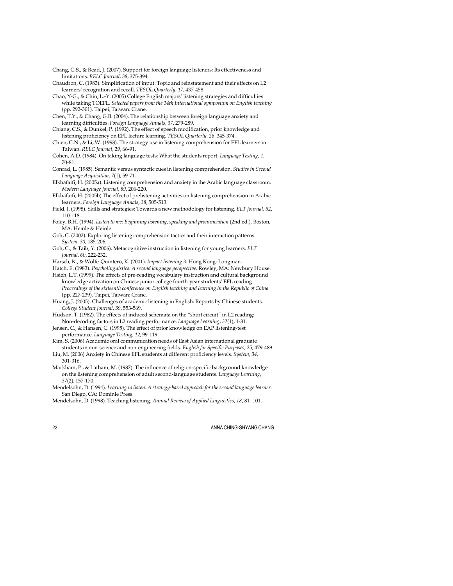Chang, C-S., & Read, J. (2007). Support for foreign language listeners: Its effectiveness and limitations. *RELC Journal, 38*, 375-394.

- Chaudron, C. (1983). Simplification of input: Topic and reinstatement and their effects on L2 learners' recognition and recall. *TESOL Quarterly, 17*, 437-458.
- Chao, Y-G., & Chin, L.-Y. (2005) College English majors' listening strategies and difficulties while taking TOEFL. *Selected papers from the 14th International symposium on English teaching* (pp. 292-301). Taipei, Taiwan: Crane.
- Chen, T.Y., & Chang, G.B. (2004). The relationship between foreign language anxiety and learning difficulties. *Foreign Language Annals, 37*, 279-289.
- Chiang, C.S., & Dunkel, P. (1992). The effect of speech modification, prior knowledge and listening proficiency on EFL lecture learning. *TESOL Quarterly, 26*, 345-374.
- Chien, C.N., & Li, W. (1998). The strategy use in listening comprehension for EFL learners in Taiwan. *RELC Journal, 29*, 66-91.

Cohen, A.D. (1984). On taking language tests: What the students report. *Language Testing, 1*, 70-81.

- Conrad, L. (1985). Semantic versus syntactic cues in listening comprehension. *Studies in Second Language Acquisition, 7*(1), 59-71.
- Elkhafaifi, H. (2005a). Listening comprehension and anxiety in the Arabic language classroom. *Modern Language Journal, 89*, 206-220.
- Elkhafaifi, H. (2005b) The effect of prelistening activities on listening comprehension in Arabic learners. *Foreign Language Annals, 38*, 505-513.
- Field, J. (1998). Skills and strategies: Towards a new methodology for listening. *ELT Journal, 52*, 110-118.
- Foley, B.H. (1994). *Listen to me: Beginning listening, speaking and pronunciation* (2nd ed.). Boston, MA: Heinle & Heinle.
- Goh, C. (2002). Exploring listening comprehension tactics and their interaction patterns. *System, 30*, 185-206.
- Goh, C., & Taib, Y. (2006). Metacognitive instruction in listening for young learners. *ELT Journal, 60*, 222-232.
- Harsch, K., & Wolfe-Quintero, K. (2001). *Impact listening 3*. Hong Kong: Longman.

Hatch, E. (1983). *Psycholinguistics: A second language perspective*. Rowley, MA: Newbury House.

- Hsieh, L.T. (1999). The effects of pre-reading vocabulary instruction and cultural background knowledge activation on Chinese junior college fourth-year students' EFL reading. *Proceedings of the sixteenth conference on English teaching and learning in the Republic of China*
- (pp. 227-239). Taipei, Taiwan: Crane. Huang, J. (2005). Challenges of academic listening in English: Reports by Chinese students. *College Student Journal, 39*, 553-569.

Hudson, T. (1982). The effects of induced schemata on the "short circuit" in L2 reading: Non-decoding factors in L2 reading performance. *Language Learning, 32*(1), 1-31.

- Jensen, C., & Hansen, C. (1995). The effect of prior knowledge on EAP listening-test performance. *Language Testing, 12*, 99-119.
- Kim, S. (2006) Academic oral communication needs of East Asian international graduate students in non-science and non-engineering fields. *English for Specific Purposes, 25*, 479-489.
- Liu, M. (2006) Anxiety in Chinese EFL students at different proficiency levels. *System, 34*, 301-316.
- Markham, P., & Latham, M. (1987). The influence of religion-specific background knowledge on the listening comprehension of adult second-language students. *Language Learning, 37*(2), 157-170.
- Mendelsohn, D. (1994). *Learning to listen: A strategy-based approach for the second language learner*. San Diego, CA: Dominie Press.
- Mendelsohn, D. (1998). Teaching listening. *Annual Review of Applied Linguistics, 18*, 81- 101.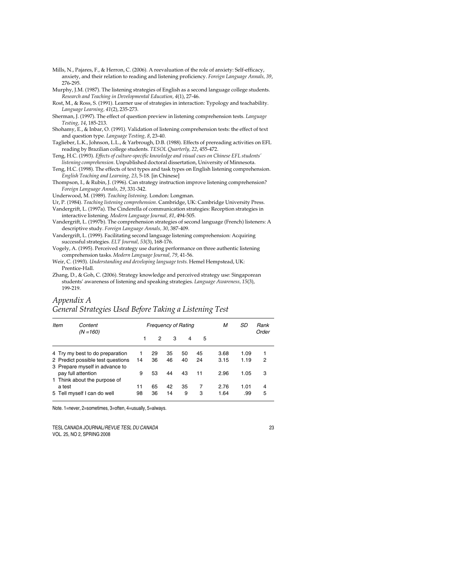| Mills, N., Pajares, F., & Herron, C. (2006). A reevaluation of the role of anxiety: Self-efficacy, |
|----------------------------------------------------------------------------------------------------|
| anxiety, and their relation to reading and listening proficiency. Foreign Language Annals, 39,     |
| 276-295.                                                                                           |

Murphy, J.M. (1987). The listening strategies of English as a second language college students. *Research and Teaching in Developmental Education, 4*(1), 27-46.

Rost, M., & Ross, S. (1991). Learner use of strategies in interaction: Typology and teachability. *Language Learning, 41*(2), 235-273.

Sherman, J. (1997). The effect of question preview in listening comprehension tests. *Language Testing, 14*, 185-213.

Shohamy, E., & Inbar, O. (1991). Validation of listening comprehension tests: the effect of text and question type. *Language Testing, 8*, 23-40.

Taglieber, L.K., Johnson, L.L., & Yarbrough, D.B. (1988). Effects of prereading activities on EFL reading by Brazilian college students. *TESOL Quarterly, 22*, 455-472.

Teng, H.C. (1993). *Effects of culture-specific knowledge and visual cues on Chinese EFL students' listening comprehension*. Unpublished doctoral dissertation, University of Minnesota.

Teng, H.C. (1998). The effects of text types and task types on English listening comprehension. *English Teaching and Learning, 23*, 5-18. [in Chinese]

Thompson, I., & Rubin, J. (1996). Can strategy instruction improve listening comprehension? *Foreign Language Annals, 29*, 331-342.

Underwood, M. (1989). *Teaching listening*. London: Longman.

Ur, P. (1984). *Teaching listening comprehension*. Cambridge, UK: Cambridge University Press.

Vandergrift, L. (1997a). The Cinderella of communication strategies: Reception strategies in interactive listening. *Modern Language Journal, 81*, 494-505.

Vandergrift, L. (1997b). The comprehension strategies of second language (French) listeners: A descriptive study. *Foreign Language Annals, 30*, 387-409.

Vandergrift, L. (1999). Facilitating second language listening comprehension: Acquiring successful strategies. *ELT Journal, 53*(3), 168-176.

Vogely, A. (1995). Perceived strategy use during performance on three authentic listening comprehension tasks. *Modern Language Journal, 79*, 41-56.

Weir, C. (1993). *Understanding and developing language tests*. Hemel Hempstead, UK: Prentice-Hall.

Zhang, D., & Goh, C. (2006). Strategy knowledge and perceived strategy use: Singaporean students' awareness of listening and speaking strategies. *Language Awareness, 15*(3), 199-219.

# *Appendix A*

|  |  | General Strategies Used Before Taking a Listening Test |  |
|--|--|--------------------------------------------------------|--|
|--|--|--------------------------------------------------------|--|

| ltem<br>Content<br>$(N = 160)$ |                                                                     | <b>Frequency of Rating</b> |    |    |    |    | М    | SD   | Rank<br>Order  |
|--------------------------------|---------------------------------------------------------------------|----------------------------|----|----|----|----|------|------|----------------|
|                                |                                                                     |                            | 2  | 3  | 4  | 5  |      |      |                |
|                                | 4 Try my best to do preparation                                     | 1                          | 29 | 35 | 50 | 45 | 3.68 | 1.09 |                |
|                                | 2 Predict possible test questions<br>3 Prepare myself in advance to | 14                         | 36 | 46 | 40 | 24 | 3.15 | 1.19 | $\overline{2}$ |
|                                | pay full attention<br>1 Think about the purpose of                  | 9                          | 53 | 44 | 43 | 11 | 2.96 | 1.05 | з              |
|                                | a test                                                              | 11                         | 65 | 42 | 35 | 7  | 2.76 | 1.01 | 4              |
|                                | 5 Tell myself I can do well                                         | 98                         | 36 | 14 | 9  | 3  | 1.64 | .99  | 5              |

Note. 1=never, 2=sometimes, 3=often, 4=usually, 5=always.

TESL CANADA JOURNAL/REVUE TESL DU CANADA 23 VOL. 25, NO 2, SPRING 2008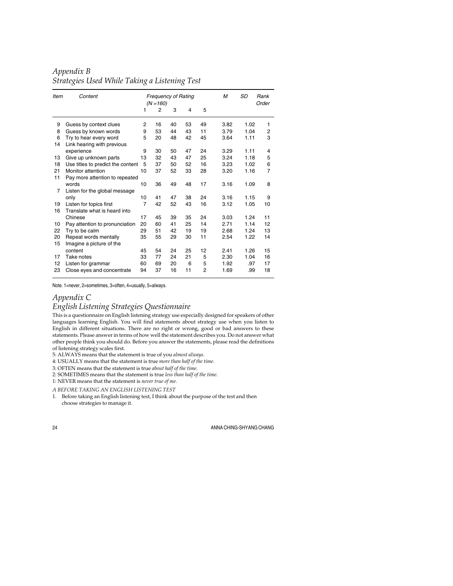# *Appendix B Strategies Used While Taking a Listening Test*

| <b>Item</b> | Content                           | <b>Frequency of Rating</b><br>$(N = 160)$ |                |    |    |                | М    | SD   | Rank<br>Order |
|-------------|-----------------------------------|-------------------------------------------|----------------|----|----|----------------|------|------|---------------|
|             |                                   | 1                                         | $\overline{2}$ | 3  | 4  | 5              |      |      |               |
| 9           | Guess by context clues            | 2                                         | 16             | 40 | 53 | 49             | 3.82 | 1.02 | 1             |
| 8           | Guess by known words              | 9                                         | 53             | 44 | 43 | 11             | 3.79 | 1.04 | 2             |
| 6           | Try to hear every word            | 5                                         | 20             | 48 | 42 | 45             | 3.64 | 1.11 | 3             |
| 14          | Link hearing with previous        |                                           |                |    |    |                |      |      |               |
|             | experience                        | 9                                         | 30             | 50 | 47 | 24             | 3.29 | 1.11 | 4             |
| 13          | Give up unknown parts             | 13                                        | 32             | 43 | 47 | 25             | 3.24 | 1.18 | 5             |
| 18          | Use titles to predict the content | 5                                         | 37             | 50 | 52 | 16             | 3.23 | 1.02 | 6             |
| 21          | Monitor attention                 | 10                                        | 37             | 52 | 33 | 28             | 3.20 | 1.16 | 7             |
| 11          | Pay more attention to repeated    |                                           |                |    |    |                |      |      |               |
|             | words                             | 10                                        | 36             | 49 | 48 | 17             | 3.16 | 1.09 | 8             |
| 7           | Listen for the global message     |                                           |                |    |    |                |      |      |               |
|             | only                              | 10                                        | 41             | 47 | 38 | 24             | 3.16 | 1.15 | 9             |
| 19          | Listen for topics first           | $\overline{7}$                            | 42             | 52 | 43 | 16             | 3.12 | 1.05 | 10            |
| 16          | Translate what is heard into      |                                           |                |    |    |                |      |      |               |
|             | Chinese                           | 17                                        | 45             | 39 | 35 | 24             | 3.03 | 1.24 | 11            |
| 10          | Pay attention to pronunciation    | 20                                        | 60             | 41 | 25 | 14             | 2.71 | 1.14 | 12            |
| 22          | Try to be calm                    | 29                                        | 51             | 42 | 19 | 19             | 2.68 | 1.24 | 13            |
| 20          | Repeat words mentally             | 35                                        | 55             | 29 | 30 | 11             | 2.54 | 1.22 | 14            |
| 15          | Imagine a picture of the          |                                           |                |    |    |                |      |      |               |
|             | content                           | 45                                        | 54             | 24 | 25 | 12             | 2.41 | 1.26 | 15            |
| 17          | Take notes                        | 33                                        | 77             | 24 | 21 | 5              | 2.30 | 1.04 | 16            |
| 12          | Listen for grammar                | 60                                        | 69             | 20 | 6  | 5              | 1.92 | .97  | 17            |
| 23          | Close eyes and concentrate        | 94                                        | 37             | 16 | 11 | $\overline{2}$ | 1.69 | .99  | 18            |

Note. 1=never, 2=sometimes, 3=often, 4=usually, 5=always.

# *Appendix C*

# *English Listening Strategies Questionnaire*

This is a questionnaire on English listening strategy use especially designed for speakers of other languages learning English. You will find statements about strategy use when you listen to English in different situations. There are no right or wrong, good or bad answers to these statements. Please answer in terms of how well the statement describes you. Do not answer what other people think you should do. Before you answer the statements, please read the definitions of listening strategy scales first.

- 5: ALWAYS means that the statement is true of you *almost always.*
- 4: USUALLY means that the statement is true *more than half of the time.*
- 3: OFTEN means that the statement is true *about half of the time.*
- 2: SOMETIMES means that the statement is true *less than half of the time.*

1: NEVER means that the statement is *never true of me.*

*A BEFORE TAKING AN ENGLISH LISTENING TEST*

1. Before taking an English listening test, I think about the purpose of the test and then choose strategies to manage it.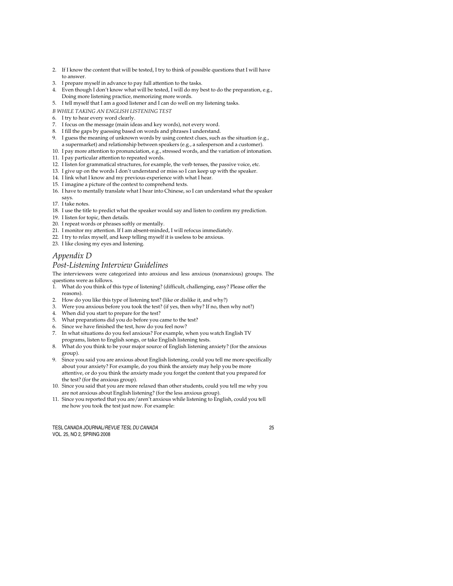- 2. If I know the content that will be tested, I try to think of possible questions that I will have to answer.
- 3. I prepare myself in advance to pay full attention to the tasks.
- 4. Even though I don't know what will be tested, I will do my best to do the preparation, e.g., Doing more listening practice, memorizing more words.
- 5. I tell myself that I am a good listener and I can do well on my listening tasks.
- *B WHILE TAKING AN ENGLISH LISTENING TEST*
- 6. I try to hear every word clearly.
- 7. I focus on the message (main ideas and key words), not every word.
- 8. I fill the gaps by guessing based on words and phrases I understand.
- 9. I guess the meaning of unknown words by using context clues, such as the situation (e.g., a supermarket) and relationship between speakers (e.g., a salesperson and a customer).
- 10. I pay more attention to pronunciation, e.g., stressed words, and the variation of intonation.
- 11. I pay particular attention to repeated words.
- 12. I listen for grammatical structures, for example, the verb tenses, the passive voice, etc.
- 13. I give up on the words I don't understand or miss so I can keep up with the speaker.
- 14. I link what I know and my previous experience with what I hear.
- 15. I imagine a picture of the context to comprehend texts.
- 16. I have to mentally translate what I hear into Chinese, so I can understand what the speaker
- says.
- 17. I take notes.
- 18. I use the title to predict what the speaker would say and listen to confirm my prediction.
- 19. I listen for topic, then details.
- 20. I repeat words or phrases softly or mentally.
- 21. I monitor my attention. If I am absent-minded, I will refocus immediately.
- 22. I try to relax myself, and keep telling myself it is useless to be anxious.
- 23. I like closing my eyes and listening.

# *Appendix D*

# *Post-Listening Interview Guidelines*

The interviewees were categorized into anxious and less anxious (nonanxious) groups. The questions were as follows.

- 1. What do you think of this type of listening? (difficult, challenging, easy? Please offer the reasons).
- 2. How do you like this type of listening test? (like or dislike it, and why?)
- 3. Were you anxious before you took the test? (if yes, then why? If no, then why not?)
- 4. When did you start to prepare for the test?
- 5. What preparations did you do before you came to the test?
- 6. Since we have finished the test, how do you feel now?
- 7. In what situations do you feel anxious? For example, when you watch English TV
- programs, listen to English songs, or take English listening tests.
- 8. What do you think to be your major source of English listening anxiety? (for the anxious group).
- 9. Since you said you are anxious about English listening, could you tell me more specifically about your anxiety? For example, do you think the anxiety may help you be more attentive, or do you think the anxiety made you forget the content that you prepared for the test? (for the anxious group).
- 10. Since you said that you are more relaxed than other students, could you tell me why you are not anxious about English listening? (for the less anxious group).
- 11. Since you reported that you are/aren't anxious while listening to English, could you tell me how you took the test just now. For example:

TESL CANADA JOURNAL/REVUE TESL DU CANADA 25 VOL. 25, NO 2, SPRING 2008